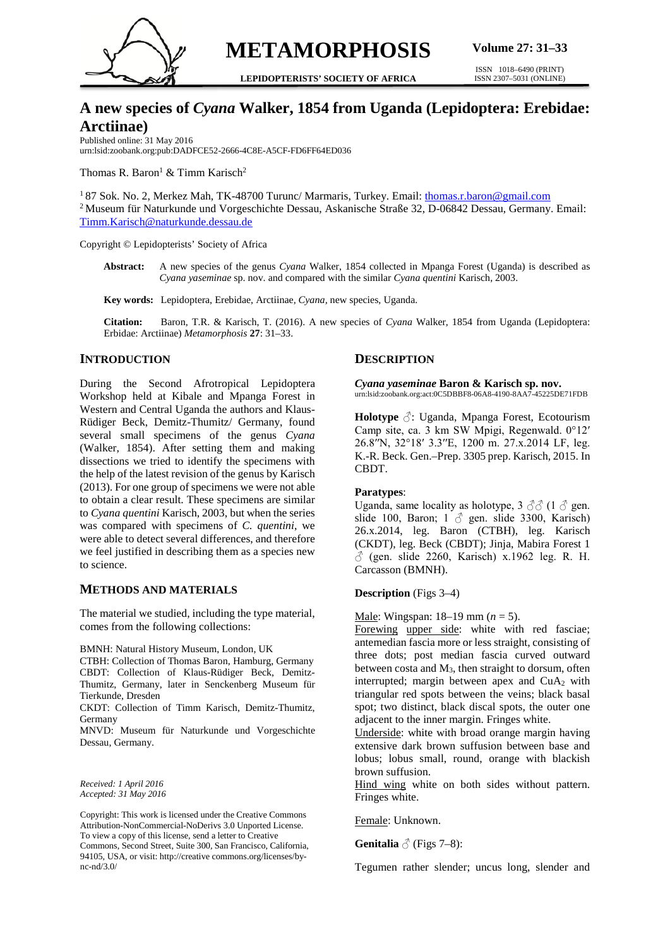

**METAMORPHOSIS**

**LEPIDOPTERISTS' SOCIETY OF AFRICA**

ISSN 1018–6490 (PRINT) ISSN 2307–5031 (ONLINE)

# **A new species of** *Cyana* **Walker, 1854 from Uganda (Lepidoptera: Erebidae: Arctiinae)**

Published online: 31 May 2016 urn:lsid:zoobank.org:pub:DADFCE52-2666-4C8E-A5CF-FD6FF64ED036

Thomas R. Baron<sup>1</sup> & Timm Karisch<sup>2</sup>

<sup>1</sup> 87 Sok. No. 2, Merkez Mah, TK-48700 Turunc/ Marmaris, Turkey. Email[: thomas.r.baron@gmail.com](mailto:thomas.r.baron@gmail.com) 2 Museum für Naturkunde und Vorgeschichte Dessau, Askanische Straße 32, D-06842 Dessau, Germany. Email: [Timm.Karisch@naturkunde.dessau.de](mailto:Timm.Karisch@naturkunde.dessau.de)

Copyright © Lepidopterists' Society of Africa

**Abstract:** A new species of the genus *Cyana* Walker, 1854 collected in Mpanga Forest (Uganda) is described as *Cyana yaseminae* sp. nov. and compared with the similar *Cyana quentini* Karisch, 2003.

**Key words:** Lepidoptera, Erebidae, Arctiinae, *Cyana,* new species, Uganda.

**Citation:** Baron, T.R. & Karisch, T. (2016). A new species of *Cyana* Walker, 1854 from Uganda (Lepidoptera: Erbidae: Arctiinae) *Metamorphosis* **27**: 31–33.

## **INTRODUCTION**

During the Second Afrotropical Lepidoptera Workshop held at Kibale and Mpanga Forest in Western and Central Uganda the authors and Klaus-Rüdiger Beck, Demitz-Thumitz/ Germany, found several small specimens of the genus *Cyana* (Walker, 1854). After setting them and making dissections we tried to identify the specimens with the help of the latest revision of the genus by Karisch (2013). For one group of specimens we were not able to obtain a clear result. These specimens are similar to *Cyana quentini* Karisch, 2003, but when the series was compared with specimens of *C. quentini*, we were able to detect several differences, and therefore we feel justified in describing them as a species new to science.

#### **METHODS AND MATERIALS**

The material we studied, including the type material, comes from the following collections:

BMNH: Natural History Museum, London, UK

CTBH: Collection of Thomas Baron, Hamburg, Germany CBDT: Collection of Klaus-Rüdiger Beck, Demitz-Thumitz, Germany, later in Senckenberg Museum für Tierkunde, Dresden

CKDT: Collection of Timm Karisch, Demitz-Thumitz, Germany

MNVD: Museum für Naturkunde und Vorgeschichte Dessau, Germany.

*Received: 1 April 2016 Accepted: 31 May 2016*

Copyright: This work is licensed under the Creative Commons Attribution-NonCommercial-NoDerivs 3.0 Unported License. To view a copy of this license, send a letter to Creative Commons, Second Street, Suite 300, San Francisco, California, 94105, USA, or visit: http://creative commons.org/licenses/bync-nd/3.0/

# **DESCRIPTION**

*Cyana yaseminae* **Baron & Karisch sp. nov.** urn:lsid:zoobank.org:act:0C5DBBF8-06A8-4190-8AA7-45225DE71FDB

**Holotype** ♂: Uganda, Mpanga Forest, Ecotourism Camp site, ca. 3 km SW Mpigi, Regenwald. 0°12ʹ 26.8ʹʹN, 32°18ʹ 3.3ʹʹE, 1200 m. 27.x.2014 LF, leg. K.-R. Beck. Gen.–Prep. 3305 prep. Karisch, 2015. In CBDT.

#### **Paratypes**:

Uganda, same locality as holotype,  $3 \text{ } \textcircled{3} \text{ } (1 \text{ } \textcircled{3} \text{ } \text{gen.}$ slide 100, Baron; 1  $\delta$  gen. slide 3300, Karisch) 26.x.2014, leg. Baron (CTBH), leg. Karisch (CKDT), leg. Beck (CBDT); Jinja, Mabira Forest 1  $\delta$  (gen. slide 2260, Karisch) x.1962 leg. R. H. Carcasson (BMNH).

#### **Description** (Figs 3–4)

Male: Wingspan: 18–19 mm (*n* = 5).

Forewing upper side: white with red fasciae; antemedian fascia more or less straight, consisting of three dots; post median fascia curved outward between costa and M3, then straight to dorsum, often interrupted; margin between apex and  $CuA<sub>2</sub>$  with triangular red spots between the veins; black basal spot; two distinct, black discal spots, the outer one adjacent to the inner margin. Fringes white.

Underside: white with broad orange margin having extensive dark brown suffusion between base and lobus; lobus small, round, orange with blackish brown suffusion.

Hind wing white on both sides without pattern. Fringes white.

Female: Unknown.

**Genitalia**  $\triangle$  (Figs 7–8):

Tegumen rather slender; uncus long, slender and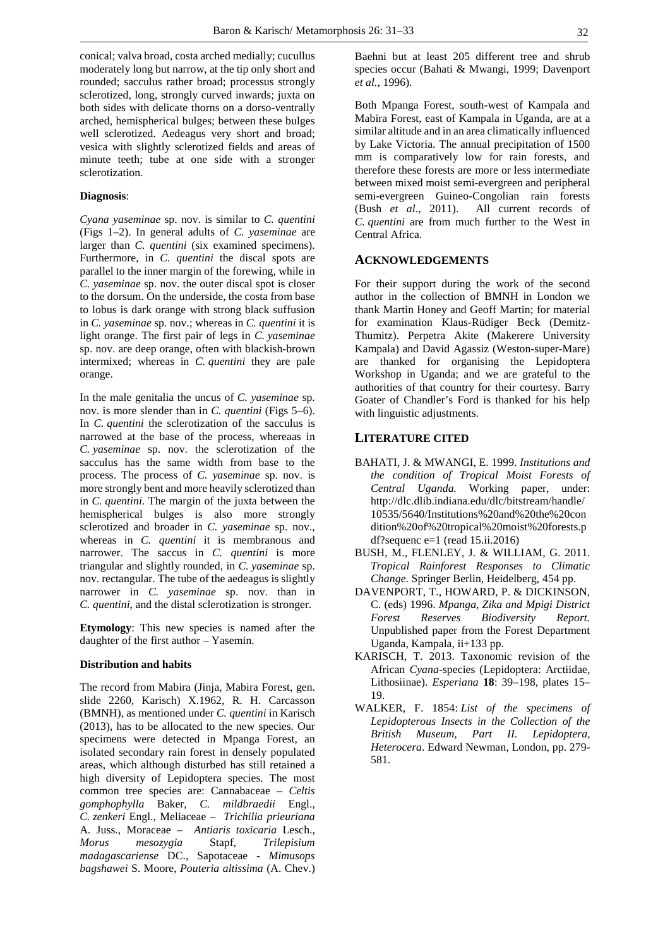conical; valva broad, costa arched medially; cucullus moderately long but narrow, at the tip only short and rounded; sacculus rather broad; processus strongly sclerotized, long, strongly curved inwards; juxta on both sides with delicate thorns on a dorso-ventrally arched, hemispherical bulges; between these bulges well sclerotized. Aedeagus very short and broad; vesica with slightly sclerotized fields and areas of minute teeth; tube at one side with a stronger sclerotization.

#### **Diagnosis**:

*Cyana yaseminae* sp. nov. is similar to *C. quentini* (Figs 1–2). In general adults of *C. yaseminae* are larger than *C. quentini* (six examined specimens). Furthermore, in *C. quentini* the discal spots are parallel to the inner margin of the forewing, while in *C. yaseminae* sp. nov. the outer discal spot is closer to the dorsum. On the underside, the costa from base to lobus is dark orange with strong black suffusion in *C. yaseminae* sp. nov.; whereas in *C. quentini* it is light orange. The first pair of legs in *C. yaseminae* sp. nov. are deep orange, often with blackish-brown intermixed; whereas in *C. quentini* they are pale orange.

In the male genitalia the uncus of *C. yaseminae* sp. nov. is more slender than in *C. quentini* (Figs 5–6). In *C. quentini* the sclerotization of the sacculus is narrowed at the base of the process, whereaas in *C. yaseminae* sp. nov. the sclerotization of the sacculus has the same width from base to the process. The process of *C. yaseminae* sp. nov. is more strongly bent and more heavily sclerotized than in *C. quentini*. The margin of the juxta between the hemispherical bulges is also more strongly sclerotized and broader in *C. yaseminae* sp. nov., whereas in *C. quentini* it is membranous and narrower. The saccus in *C. quentini* is more triangular and slightly rounded, in *C. yaseminae* sp. nov. rectangular. The tube of the aedeagus is slightly narrower in *C. yaseminae* sp. nov. than in *C. quentini*, and the distal sclerotization is stronger.

**Etymology**: This new species is named after the daughter of the first author – Yasemin.

#### **Distribution and habits**

The record from Mabira (Jinja, Mabira Forest, gen. slide 2260, Karisch) X.1962, R. H. Carcasson (BMNH), as mentioned under *C. quentini* in Karisch (2013), has to be allocated to the new species. Our specimens were detected in Mpanga Forest, an isolated secondary rain forest in densely populated areas, which although disturbed has still retained a high diversity of Lepidoptera species. The most common tree species are: Cannabaceae – *Celtis gomphophylla* Baker, *C. mildbraedii* Engl., *C. zenkeri* Engl., Meliaceae – *Trichilia prieuriana* A. Juss., Moraceae – *Antiaris toxicaria* Lesch., *Morus mesozygia* Stapf, *Trilepisium madagascariense* DC., Sapotaceae - *Mimusops bagshawei* S. Moore, *Pouteria altissima* (A. Chev.)

Baehni but at least 205 different tree and shrub species occur (Bahati & Mwangi, 1999; Davenport *et al.*, 1996).

Both Mpanga Forest, south-west of Kampala and Mabira Forest, east of Kampala in Uganda, are at a similar altitude and in an area climatically influenced by Lake Victoria. The annual precipitation of 1500 mm is comparatively low for rain forests, and therefore these forests are more or less intermediate between mixed moist semi-evergreen and peripheral semi-evergreen Guineo-Congolian rain forests (Bush *et al*., 2011). All current records of *C. quentini* are from much further to the West in Central Africa.

#### **ACKNOWLEDGEMENTS**

For their support during the work of the second author in the collection of BMNH in London we thank Martin Honey and Geoff Martin; for material for examination Klaus-Rüdiger Beck (Demitz-Thumitz). Perpetra Akite (Makerere University Kampala) and David Agassiz (Weston-super-Mare) are thanked for organising the Lepidoptera Workshop in Uganda; and we are grateful to the authorities of that country for their courtesy. Barry Goater of Chandler's Ford is thanked for his help with linguistic adjustments.

## **LITERATURE CITED**

- BAHATI, J. & MWANGI, E. 1999. *Institutions and the condition of Tropical Moist Forests of Central Uganda.* Working paper, under: http://dlc.dlib.indiana.edu/dlc/bitstream/handle/ 10535/5640/Institutions%20and%20the%20con dition%20of%20tropical%20moist%20forests.p df?sequenc  $e=1$  (read 15.ii.2016)
- BUSH, M., FLENLEY, J. & WILLIAM, G. 2011. *Tropical Rainforest Responses to Climatic Change*. Springer Berlin, Heidelberg, 454 pp.
- DAVENPORT, T., HOWARD, P. & DICKINSON, C. (eds) 1996. *Mpanga, Zika and Mpigi District Forest Reserves Biodiversity Report.*  Unpublished paper from the Forest Department Uganda, Kampala, ii+133 pp.
- KARISCH, T. 2013. Taxonomic revision of the African *Cyana*-species (Lepidoptera: Arctiidae, Lithosiinae). *Esperiana* **18**: 39–198, plates 15– 19.
- WALKER, F. 1854: *List of the specimens of Lepidopterous Insects in the Collection of the British Museum, Part II. Lepidoptera, Heterocera*. Edward Newman, London, pp. 279- 581.